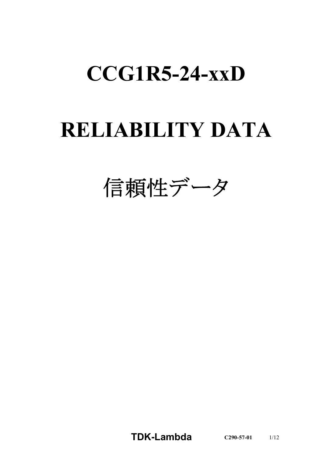# **CCG1R5-24-xxD**

# **RELIABILITY DATA**

信頼性データ

**TDK-Lambda C290-57-01** 1/12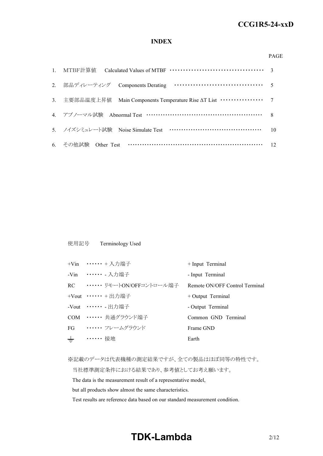### **INDEX**

#### PAGE

| 3. 主要部品温度上昇值 Main Components Temperature Rise AT List ················ 7 |    |
|--------------------------------------------------------------------------|----|
| 4. アブノーマル試験 Abnormal Test ………………………………………………… 8                          |    |
| 5. ノイズシミュレート試験 Noise Simulate Test ……………………………………                        | 10 |
| 6. その他試験 Other Test ……………………………………………………… 12                             |    |

### 使用記号 Terminology Used

|       | +Vin …… + 入力端子                 | + Input Terminal               |
|-------|--------------------------------|--------------------------------|
|       | -Vin …… 入力端子                   | - Input Terminal               |
|       | RC •・・・・・・・ リモートON/OFFコントロール端子 | Remote ON/OFF Control Terminal |
|       | +Vout …… + 出力端子                | $+$ Output Terminal            |
|       | -Vout ・・・・・・ - 出力端子            | - Output Terminal              |
|       | COM …… 共通グラウンド端子               | Common GND Terminal            |
|       | FG ······ フレームグラウンド            | Frame GND                      |
| $\pm$ | ・・・・・・ 接地                      | Earth                          |

※記載のデータは代表機種の測定結果ですが、全ての製品はほぼ同等の特性です。

当社標準測定条件における結果であり、参考値としてお考え願います。

The data is the measurement result of a representative model,

but all products show almost the same characteristics.

Test results are reference data based on our standard measurement condition.

# **TDK-Lambda**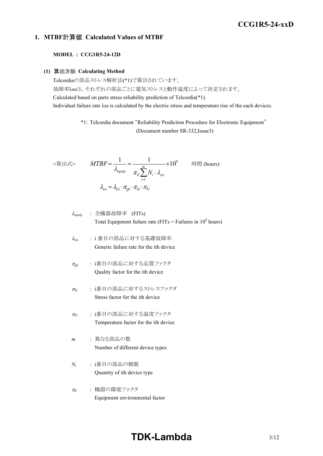### **1. MTBF**計算値 **Calculated Values of MTBF**

### **MODEL : CCG1R5-24-12D**

#### **(1)** 算出方法 **Calculating Method**

Telcordiaの部品ストレス解析法(\*1)で算出されています。 故障率λssは、それぞれの部品ごとに電気ストレスと動作温度によって決定されます。 Calculated based on parts stress reliability prediction of Telcordia(\*1). Individual failure rate λss is calculated by the electric stress and temperature rise of the each devices.

> \*1: Telcordia document "Reliability Prediction Procedure for Electronic Equipment" (Document number SR-332,Issue3)

$$
\langle \hat{\mathbf{g}} | \mathbf{H} \mathbf{x} \rangle \qquad MTBF = \frac{1}{\lambda_{equip}} = \frac{1}{\pi_E \sum_{i=1}^{m} N_i \cdot \lambda_{ssi}} \times 10^9 \qquad \text{iff } (\text{hours})
$$
\n
$$
\lambda_{ssi} = \lambda_{Gi} \cdot \pi_{Qi} \cdot \pi_{Si} \cdot \pi_{Ti}
$$

<sup>l</sup>*equip* : 全機器故障率 (FITs) Total Equipment failure rate (FITs = Failures in 10<sup>9</sup> hours)

- <sup>l</sup>*Gi* : i 番目の部品に対する基礎故障率 Generic failure rate for the ith device
- <sup>p</sup>*Qi* : i番目の部品に対する品質ファクタ Quality factor for the ith device
- <sup>p</sup>*Si* : i番目の部品に対するストレスファクタ Stress factor for the ith device
- <sup>p</sup>*Ti* : i番目の部品に対する温度ファクタ Temperature factor for the ith device
- *m* : 異なる部品の数 Number of different device types
- *Ni* : i番目の部品の個数 Quantity of ith device type
- <sup>p</sup>*<sup>E</sup>* : 機器の環境ファクタ Equipment environmental factor

# **TDK-Lambda**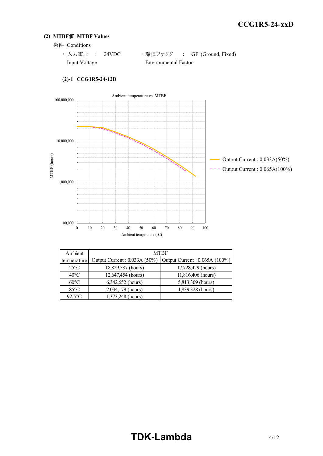### **(2) MTBF**値 **MTBF Values**

条件 Conditions

· 入力電圧 : 24VDC ·環境ファクタ : GF (Ground, Fixed) Input Voltage Environmental Factor



### **(2)-1 CCG1R5-24-12D**

| Ambient        |                              | <b>MTBF</b>                    |  |  |
|----------------|------------------------------|--------------------------------|--|--|
| temperature    | Output Current: 0.033A (50%) | Output Current : 0.065A (100%) |  |  |
| $25^{\circ}$ C | 18,829,587 (hours)           | 17,728,429 (hours)             |  |  |
| $40^{\circ}$ C | 12,647,454 (hours)           | 11,816,406 (hours)             |  |  |
| $60^{\circ}$ C | 6,342,652 (hours)            | 5,813,309 (hours)              |  |  |
| $85^{\circ}$ C | 2,034,179 (hours)            | 1,839,328 (hours)              |  |  |
| $92.5$ °C      | 1,373,248 (hours)            |                                |  |  |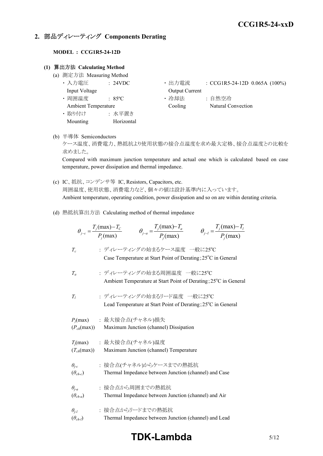### **2.** 部品ディレーティング **Components Derating**

### **MODEL : CCG1R5-24-12D**

### **(1)** 算出方法 **Calculating Method**

- (a) 測定方法 Measuring Method
	-
	-
	- ・ 取り付け : 水平置き
		- Mounting Horizontal
	- 入力電圧 : 24VDC 出力電流 : CCG1R5-24-12D 0.065A (100%) Input Voltage **Output Current**
	- 周囲温度 : 85°C · 哈却法 : 自然空冷 Ambient Temperature Cooling Natural Convection
- (b) 半導体 Semiconductors

ケース温度、消費電力、熱抵抗より使用状態の接合点温度を求め最大定格、接合点温度との比較を 求めました。

Compared with maximum junction temperature and actual one which is calculated based on case temperature, power dissipation and thermal impedance.

- (c) IC、抵抗、コンデンサ等 IC, Resistors, Capacitors, etc. 周囲温度、使用状態、消費電力など、個々の値は設計基準内に入っています。 Ambient temperature, operating condition, power dissipation and so on are within derating criteria.
- (d) 熱抵抗算出方法 Calculating method of thermal impedance

|                                            | $\theta_{j-a} = \frac{T_j(\text{max}) - T_a}{P_j(\text{max})}$<br>$\theta_{j-l} = \frac{T_j(\text{max}) - T_l}{P_j(\text{max})}$<br>$\theta_{j-c} = \frac{T_j(\text{max}) - T_c}{P_i(\text{max})}$ |
|--------------------------------------------|----------------------------------------------------------------------------------------------------------------------------------------------------------------------------------------------------|
| $T_c$                                      | : ディレーティングの始まるケース温度 一般に25℃<br>Case Temperature at Start Point of Derating; 25 <sup>o</sup> C in General                                                                                            |
| $T_a$                                      | : ディレーティングの始まる周囲温度 一般に25℃<br>Ambient Temperature at Start Point of Derating; 25°C in General                                                                                                       |
| $T_I$                                      | : ディレーティングの始まるリード温度 一般に25℃<br>Lead Temperature at Start Point of Derating; 25°C in General                                                                                                         |
| $(P_{ch}(\text{max}))$                     | $P_j$ (max) : 最大接合点(チャネル)損失<br>Maximum Junction (channel) Dissipation                                                                                                                              |
| $(T_{ch}(\text{max}))$                     | $T_i$ (max) : 最大接合点(チャネル)温度<br>Maximum Junction (channel) Temperature                                                                                                                              |
| $\theta_{j-c}$<br>$(\theta_{ch-c})$        | : 接合点(チャネル)からケースまでの熱抵抗<br>Thermal Impedance between Junction (channel) and Case                                                                                                                    |
| $\theta_{i-a}$<br>$(\theta_{ch\text{-}a})$ | : 接合点から周囲までの熱抵抗<br>Thermal Impedance between Junction (channel) and Air                                                                                                                            |
| $\theta_{i-l}$<br>$(\theta_{ch-l})$        | : 接合点からリードまでの熱抵抗<br>Thermal Impedance between Junction (channel) and Lead                                                                                                                          |

## **TDK-Lambda** 5/12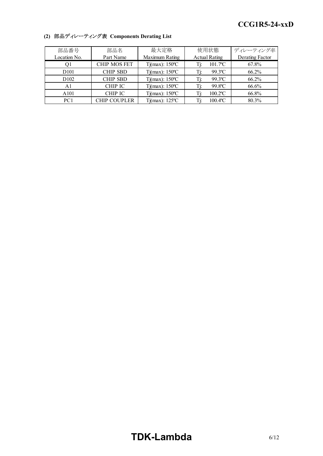| 部品番号             | 部品名                 | 最大定格                           | 使用状態                          | ディレーティング率       |
|------------------|---------------------|--------------------------------|-------------------------------|-----------------|
| Location No.     | Part Name           | Maximum Rating                 | <b>Actual Rating</b>          | Derating Factor |
| Ql               | <b>CHIP MOS FET</b> | $Tj(max)$ : 150°C              | $101.7$ <sup>o</sup> C<br>Τį: | 67.8%           |
| D <sub>101</sub> | <b>CHIP SBD</b>     | $Tj(max)$ : 150°C              | $99.3$ <sup>o</sup> C<br>Tj:  | 66.2%           |
| D <sub>102</sub> | <b>CHIP SBD</b>     | $Tj(max)$ : 150 °C             | $99.3$ °C<br>Ti:              | 66.2%           |
| A1               | <b>CHIP IC</b>      | $Tj(max)$ : 150°C              | 99.8°C<br>Ti:                 | 66.6%           |
| A101             | CHIP IC             | $Tj(max)$ : 150°C              | $100.2$ <sup>o</sup> C<br>Ti: | 66.8%           |
| PC <sub>1</sub>  | <b>CHIP COUPLER</b> | $Tj(max)$ : 125 <sup>o</sup> C | $100.4$ <sup>o</sup> C<br>Ti: | 80.3%           |

### **(2)** 部品ディレーティング表 **Components Derating List**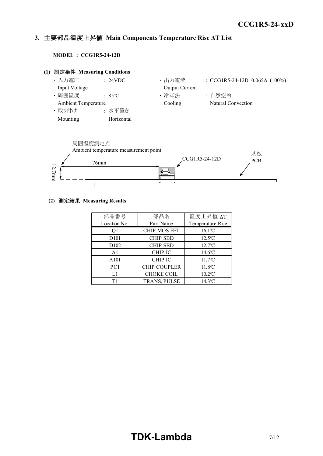#### *INSTRUCTION MANUAL* **3.** 主要部品温度上昇値 **Main Components Temperature Rise ΔT List**

**MODEL : CCG1R5-24-12D**





### **(2)** 測定結果 **Measuring Results**

| 部品番号              | 部品名                 | 温度上昇值 ΔT              |
|-------------------|---------------------|-----------------------|
| Location No.      | Part Name           | Temperature Rise      |
| Q1                | <b>CHIP MOS FET</b> | $16.1$ <sup>o</sup> C |
| D <sub>10</sub> 1 | <b>CHIP SBD</b>     | $12.5$ °C             |
| D <sub>102</sub>  | <b>CHIP SBD</b>     | $12.7$ °C             |
| A <sub>1</sub>    | <b>CHIP IC</b>      | $14.6$ °C             |
| A101              | <b>CHIP IC</b>      | $11.7^{\circ}$ C      |
| PC1               | <b>CHIP COUPLER</b> | $11.8$ °C             |
| L1                | <b>CHOKE COIL</b>   | $10.2$ °C             |
| Τ1                | TRANS, PULSE        | $14.3$ <sup>o</sup> C |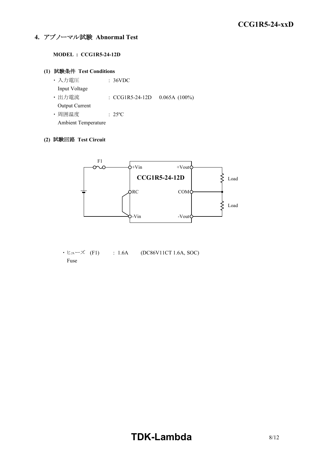### **4.** アブノーマル試験 **Abnormal Test**

### **MODEL : CCG1R5-24-12D**

### **(1)** 試験条件 **Test Conditions**

・ 入力電圧 : 36VDC Input Voltage • 出力電流 : CCG1R5-24-12D 0.065A (100%) Output Current ・ 周囲温度 : 25ºC

Ambient Temperature

### **(2)** 試験回路 **Test Circuit**



 $\cdot$  ヒューズ (F1) : 1.6A (DC86V11CT 1.6A, SOC) Fuse

# **TDK-Lambda**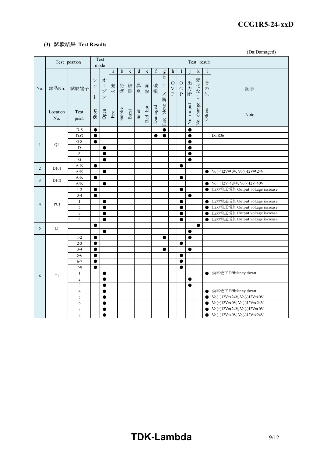### **(3)** 試験結果 **Test Results**

(Da:Damaged)

|                | Test position    |                                |                     | Test<br>mode                                                               |                       |             |             |           |         | Test result      |                                                                           |                                     |                                           |                |                           |                               |                                                                                                        |
|----------------|------------------|--------------------------------|---------------------|----------------------------------------------------------------------------|-----------------------|-------------|-------------|-----------|---------|------------------|---------------------------------------------------------------------------|-------------------------------------|-------------------------------------------|----------------|---------------------------|-------------------------------|--------------------------------------------------------------------------------------------------------|
| No.            |                  |                                |                     |                                                                            | $\rm{a}$              | $\mathbf b$ | $\mathbf c$ | ${\rm d}$ | $\rm e$ | $\boldsymbol{f}$ | g                                                                         | h                                   | Ι                                         |                | $\mathbf k$               | 1                             |                                                                                                        |
|                | 部品No.            | 試験端子                           | シ<br>$\exists$<br>F | 才<br>$\overline{\phantom{a}}$<br>$\mathcal{I}$<br>$\overline{\phantom{a}}$ | 発<br>火                | 発<br>煙      | 破裂          | 異<br>臭    | 赤<br>熱  | 破<br>損           | E<br>$\overline{\phantom{a}}$<br>$\begin{array}{c} \end{array}$<br>ズ<br>断 | $\circ$<br>$\bar{V}$<br>$\mathbf P$ | $\circ$<br>$\mathsf{C}$<br>$\overline{P}$ | 出力<br>断        | 変化<br>$\vec{z}$<br>$\cup$ | $\zeta$<br>$\mathcal{O}$<br>他 | 記事                                                                                                     |
|                | Location<br>No.  | Test<br>point                  | Short               | Open                                                                       | $\operatorname{Fire}$ | Smoke       | Burst       | Smell     | Red hot | Damaged          | Fuse blown                                                                |                                     |                                           | No output      | No change                 | Others                        | Note                                                                                                   |
|                |                  | $D-S$                          | $\bullet$           |                                                                            |                       |             |             |           |         |                  | $\bullet$                                                                 |                                     |                                           | 0              |                           |                               |                                                                                                        |
|                |                  | $D-G$                          | $\bullet$           |                                                                            |                       |             |             |           |         | $\bullet$        | $\bullet$                                                                 |                                     |                                           | $\bullet$      |                           |                               | Da:R36                                                                                                 |
| $\mathbf{1}$   | Q1               | $G-S$                          | $\bullet$           |                                                                            |                       |             |             |           |         |                  |                                                                           |                                     |                                           | ●              |                           |                               |                                                                                                        |
|                |                  | $\mathbf D$                    |                     | $\bullet$                                                                  |                       |             |             |           |         |                  |                                                                           |                                     |                                           | e              |                           |                               |                                                                                                        |
|                |                  | S                              |                     | $\bullet$                                                                  |                       |             |             |           |         |                  |                                                                           |                                     |                                           | e              |                           |                               |                                                                                                        |
|                |                  | $\mathbf G$                    |                     | $\bullet$                                                                  |                       |             |             |           |         |                  |                                                                           |                                     |                                           | $\bullet$      |                           |                               |                                                                                                        |
| $\overline{2}$ | D <sub>101</sub> | $A-K$                          | ●                   |                                                                            |                       |             |             |           |         |                  |                                                                           |                                     | e                                         |                |                           |                               |                                                                                                        |
|                |                  | A/K                            |                     | $\bullet$                                                                  |                       |             |             |           |         |                  |                                                                           |                                     |                                           |                |                           | $\bullet$                     | $\text{Vo}(+)12\text{V}\Rightarrow \text{OV}, \overline{\text{Vo}}(-)12\text{V}\Rightarrow 24\text{V}$ |
| 3              | D <sub>102</sub> | $A-K$<br>A/K                   | $\bullet$           | $\bullet$                                                                  |                       |             |             |           |         |                  |                                                                           |                                     | $\bullet$                                 |                |                           | $\bullet$                     | $\text{Vo}(+)12\text{V}\Rightarrow 24\text{V}, \text{Vo}(-)12\text{V}\Rightarrow 0\text{V}$            |
|                |                  | $1 - 2$                        | $\bullet$           |                                                                            |                       |             |             |           |         |                  |                                                                           |                                     | $\bullet$                                 |                |                           | $\bullet$                     | 出力電圧増加 Output voltage increase                                                                         |
|                |                  | $3 - 4$                        | $\bullet$           |                                                                            |                       |             |             |           |         |                  |                                                                           |                                     |                                           | $\bullet$      |                           |                               |                                                                                                        |
|                |                  | $\mathbf{1}$                   |                     | $\bullet$                                                                  |                       |             |             |           |         |                  |                                                                           |                                     | 0                                         |                |                           | $\bullet$                     | 出力電圧増加 Output voltage increase                                                                         |
| $\overline{4}$ | PC1              | $\overline{2}$                 |                     | 0                                                                          |                       |             |             |           |         |                  |                                                                           |                                     | e                                         |                |                           | $\bullet$                     | 出力電圧増加 Output voltage increase                                                                         |
|                |                  | $\overline{\mathbf{3}}$        |                     | $\bullet$                                                                  |                       |             |             |           |         |                  |                                                                           |                                     | $\bullet$                                 |                |                           | $\bullet$                     | 出力電圧増加 Output voltage increase                                                                         |
|                |                  | $\overline{4}$                 |                     | $\bullet$                                                                  |                       |             |             |           |         |                  |                                                                           |                                     | $\bullet$                                 |                |                           | $\bullet$                     | 出力電圧増加 Output voltage increase                                                                         |
| 5              | L1               |                                | ●                   |                                                                            |                       |             |             |           |         |                  |                                                                           |                                     |                                           |                | $\bullet$                 |                               |                                                                                                        |
|                |                  |                                |                     | ●                                                                          |                       |             |             |           |         |                  |                                                                           |                                     |                                           |                |                           |                               |                                                                                                        |
|                |                  | $1 - 2$                        | $\bullet$           |                                                                            |                       |             |             |           |         |                  | $\bullet$                                                                 |                                     |                                           | $\bullet$      |                           |                               |                                                                                                        |
|                |                  | $2 - 3$                        | $\bullet$           |                                                                            |                       |             |             |           |         |                  |                                                                           |                                     | $\bullet$                                 |                |                           |                               |                                                                                                        |
|                |                  | $3 - 4$                        | $\bullet$           |                                                                            |                       |             |             |           |         |                  | $\bullet$                                                                 |                                     |                                           |                |                           |                               |                                                                                                        |
|                |                  | $5 - 6$                        | $\bullet$           |                                                                            |                       |             |             |           |         |                  |                                                                           |                                     | $\bullet$                                 |                |                           |                               |                                                                                                        |
|                |                  | $6 - 7$                        | $\bullet$           |                                                                            |                       |             |             |           |         |                  |                                                                           |                                     | ●                                         |                |                           |                               |                                                                                                        |
|                |                  | $7 - 8$                        | $\bullet$           |                                                                            |                       |             |             |           |         |                  |                                                                           |                                     | ●                                         |                |                           |                               |                                                                                                        |
| 6              | T1               | $\mathbf{1}$<br>$\overline{2}$ |                     | 0                                                                          |                       |             |             |           |         |                  |                                                                           |                                     |                                           |                |                           | $\bullet$                     | 効率低下 Efficiency down                                                                                   |
|                |                  | $\overline{\mathbf{3}}$        |                     | $\bullet$<br>$\bullet$                                                     |                       |             |             |           |         |                  |                                                                           |                                     |                                           | $\bullet$<br>0 |                           |                               |                                                                                                        |
|                |                  | $\overline{4}$                 |                     | 0                                                                          |                       |             |             |           |         |                  |                                                                           |                                     |                                           |                |                           | $\bullet$                     | 効率低下 Efficiency down                                                                                   |
|                |                  | 5                              |                     | $\bullet$                                                                  |                       |             |             |           |         |                  |                                                                           |                                     |                                           |                |                           | $\bullet$                     | $\text{Vo}(+)12\text{V}\Rightarrow 24\text{V}, \text{Vo}(-)12\text{V}\Rightarrow 0\text{V}$            |
|                |                  | 6                              |                     | $\bullet$                                                                  |                       |             |             |           |         |                  |                                                                           |                                     |                                           |                |                           | $\bullet$                     | $\text{Vo}(+)12\text{V}\Rightarrow 0\text{V}, \text{Vo}(-)12\text{V}\Rightarrow 24\text{V}$            |
|                |                  | $\overline{7}$                 |                     | $\bullet$                                                                  |                       |             |             |           |         |                  |                                                                           |                                     |                                           |                |                           | $\bullet$                     | $\text{Vo}(+)12\text{V}\Rightarrow 24\text{V}, \text{Vo}(-)12\text{V}\Rightarrow 0\text{V}$            |
|                |                  | $\,$ 8 $\,$                    |                     | $\bullet$                                                                  |                       |             |             |           |         |                  |                                                                           |                                     |                                           |                |                           | $\bullet$                     | $\text{Vo}(+)12\text{V}\rightarrow 0\text{V}, \text{Vo}(-)12\text{V}\rightarrow 24\text{V}$            |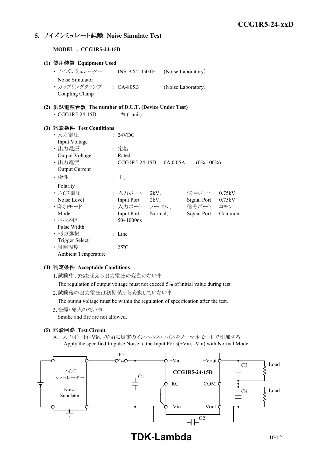### **5.** ノイズシミュレート試験 **Noise Simulate Test**

**MODEL : CCG1R5-24-15D**

| (1) 使用装置 Equipment Used                             |                              |                         |                    |        |
|-----------------------------------------------------|------------------------------|-------------------------|--------------------|--------|
| ・ ノイズシミュレーター - INS-AX2-450TH                        |                              |                         | (Noise Laboratory) |        |
| Noise Simulator                                     |                              |                         |                    |        |
| · カップリングクランプ : CA-805B                              |                              |                         | (Noise Laboratory) |        |
| Coupling Clamp                                      |                              |                         |                    |        |
| (2) 供試電源台数 The number of D.U.T. (Device Under Test) |                              |                         |                    |        |
| $\cdot$ CCG1R5-24-15D                               | : $1 \oplus (1 \text{unit})$ |                         |                    |        |
|                                                     |                              |                         |                    |        |
| (3) 試験条件 Test Conditions                            |                              |                         |                    |        |
| ・入力電圧                                               | : 24VDC                      |                         |                    |        |
| Input Voltage                                       |                              |                         |                    |        |
| · 出力電圧                                              | : 定格                         |                         |                    |        |
| Output Voltage                                      | Rated                        |                         |                    |        |
| ・出力電流                                               | : $CCG1R5-24-15D$            | 0A,0.05A                | $(0\%, 100\%)$     |        |
| Output Current                                      |                              |                         |                    |        |
| ・極性                                                 | $: +$ , $-$                  |                         |                    |        |
| Polarity                                            |                              |                         |                    |        |
| ・ノイズ電圧                                              |                              | : 入力ポート 2kV、            | 信号ポート              | 0.75kV |
| Noise Level                                         | Input Port 2kV,              |                         | Signal Port 0.75kV |        |
| ・印加モード                                              |                              | : 入力ポート ノーマル、 信号ポート コモン |                    |        |
| Mode                                                | Input Port Normal,           |                         | Signal Port        | Common |
| ・パルス幅                                               | : $50 \sim 1000$ ns          |                         |                    |        |
| Pulse Width                                         |                              |                         |                    |        |
| ・トリガ選択                                              | : Line                       |                         |                    |        |
| <b>Trigger Select</b>                               |                              |                         |                    |        |
| ·周囲温度                                               | $: 25^{\circ}C$              |                         |                    |        |
| <b>Ambient Temperature</b>                          |                              |                         |                    |        |

### **(4)** 判定条件 **Acceptable Conditions**

1.試験中、5%を超える出力電圧の変動のない事

The regulation of output voltage must not exceed 5% of initial value during test.

2.試験後の出力電圧は初期値から変動していない事

The output voltage must be within the regulation of specification after the test.

3.発煙・発火のない事

Smoke and fire are not allowed.

### **(5)** 試験回路 **Test Circuit**

A. 入力ポート(+Vin、-Vin)に規定のインパルス・ノイズをノーマルモードで印加する Apply the specified Impulse Noise to the Input Ports(+Vin, -Vin) with Normal Mode



**TDK-Lambda** 10/12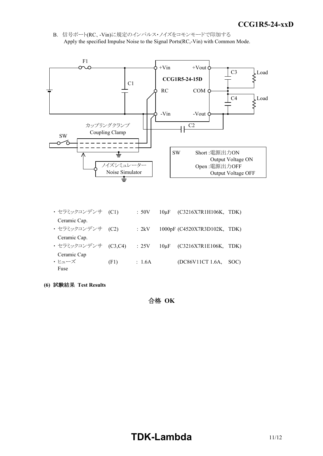*INSTRUCTION MANUAL* B. 信号ポート(RC、-Vin)に規定のインパルス・ノイズをコモンモードで印加する Apply the specified Impulse Noise to the Signal Ports(RC,-Vin) with Common Mode.



Ceramic Cap.

- ・ セラミックコンデンサ (C3,C4) : 25V 10μF (C3216X7R1E106K, TDK) Ceramic Cap  $\cdot$   $\zeta = \frac{1}{2}$  (F1) : 1.6A (DC86V11CT 1.6A, SOC) Fuse
- **(6)** 試験結果 **Test Results**

合格 **OK**